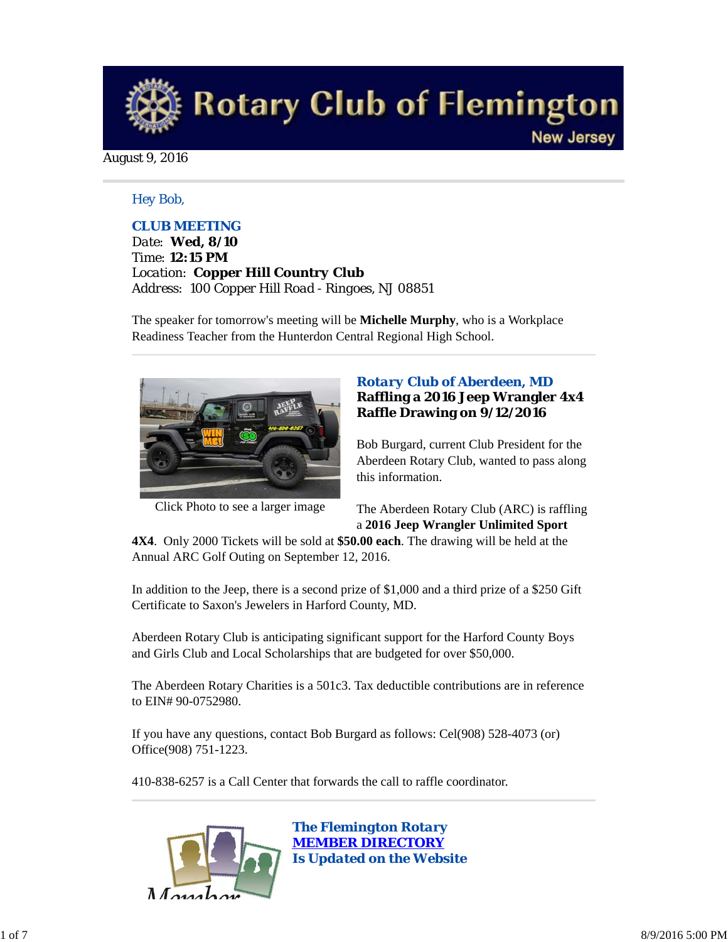

August 9, 2016

#### *Hey Bob,*

## *CLUB MEETING*

*Date: Wed, 8/10 Time: 12:15 PM Location: Copper Hill Country Club Address: 100 Copper Hill Road - Ringoes, NJ 08851*

The speaker for tomorrow's meeting will be **Michelle Murphy**, who is a Workplace Readiness Teacher from the Hunterdon Central Regional High School.



Click Photo to see a larger image

## *Rotary Club of Aberdeen, MD* **Raffling a 2016 Jeep Wrangler 4x4 Raffle Drawing on 9/12/2016**

Bob Burgard, current Club President for the Aberdeen Rotary Club, wanted to pass along this information.

The Aberdeen Rotary Club (ARC) is raffling a **2016 Jeep Wrangler Unlimited Sport**

**4X4**. Only 2000 Tickets will be sold at **\$50.00 each**. The drawing will be held at the Annual ARC Golf Outing on September 12, 2016.

In addition to the Jeep, there is a second prize of \$1,000 and a third prize of a \$250 Gift Certificate to Saxon's Jewelers in Harford County, MD.

Aberdeen Rotary Club is anticipating significant support for the Harford County Boys and Girls Club and Local Scholarships that are budgeted for over \$50,000.

The Aberdeen Rotary Charities is a 501c3. Tax deductible contributions are in reference to EIN# 90-0752980.

If you have any questions, contact Bob Burgard as follows: Cel(908) 528-4073 (or) Office(908) 751-1223.

410-838-6257 is a Call Center that forwards the call to raffle coordinator.

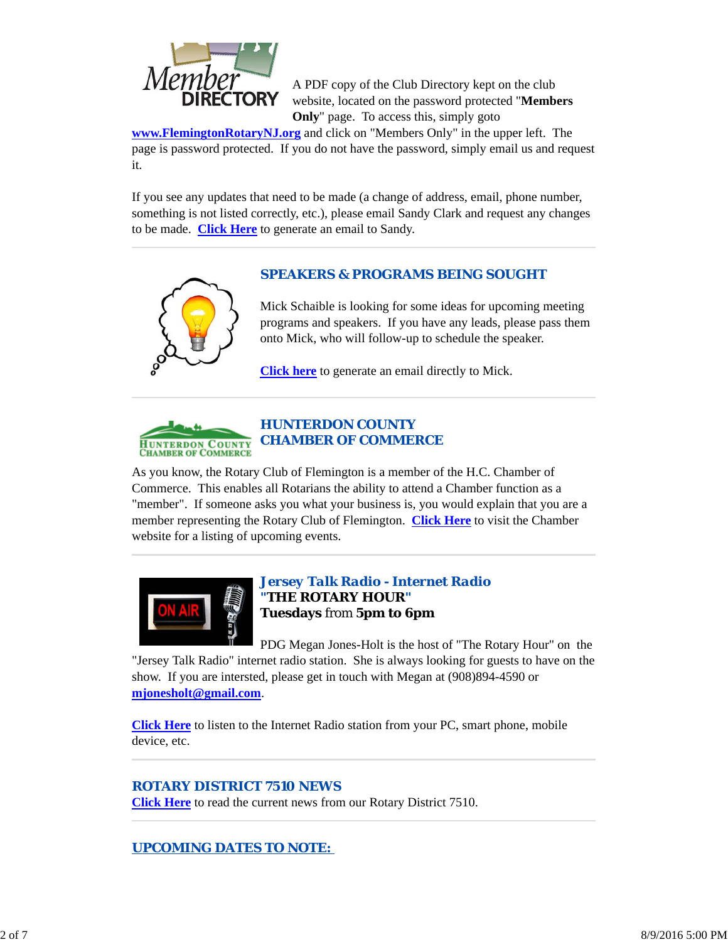

A PDF copy of the Club Directory kept on the club website, located on the password protected "**Members Only**" page. To access this, simply goto

**www.FlemingtonRotaryNJ.org** and click on "Members Only" in the upper left. The page is password protected. If you do not have the password, simply email us and request it.

If you see any updates that need to be made (a change of address, email, phone number, something is not listed correctly, etc.), please email Sandy Clark and request any changes to be made. **Click Here** to generate an email to Sandy.

# *SPEAKERS & PROGRAMS BEING SOUGHT*



Mick Schaible is looking for some ideas for upcoming meeting programs and speakers. If you have any leads, please pass them onto Mick, who will follow-up to schedule the speaker.

**Click here** to generate an email directly to Mick.



# *HUNTERDON COUNTY CHAMBER OF COMMERCE*

As you know, the Rotary Club of Flemington is a member of the H.C. Chamber of Commerce. This enables all Rotarians the ability to attend a Chamber function as a "member". If someone asks you what your business is, you would explain that you are a member representing the Rotary Club of Flemington. **Click Here** to visit the Chamber website for a listing of upcoming events.



# *Jersey Talk Radio - Internet Radio "THE ROTARY HOUR"* **Tuesdays** from **5pm to 6pm**

PDG Megan Jones-Holt is the host of "The Rotary Hour" on the "Jersey Talk Radio" internet radio station. She is always looking for guests to have on the show. If you are intersted, please get in touch with Megan at (908)894-4590 or **mjonesholt@gmail.com**.

**Click Here** to listen to the Internet Radio station from your PC, smart phone, mobile device, etc.

# *ROTARY DISTRICT 7510 NEWS*

**Click Here** to read the current news from our Rotary District 7510.

# *UPCOMING DATES TO NOTE:*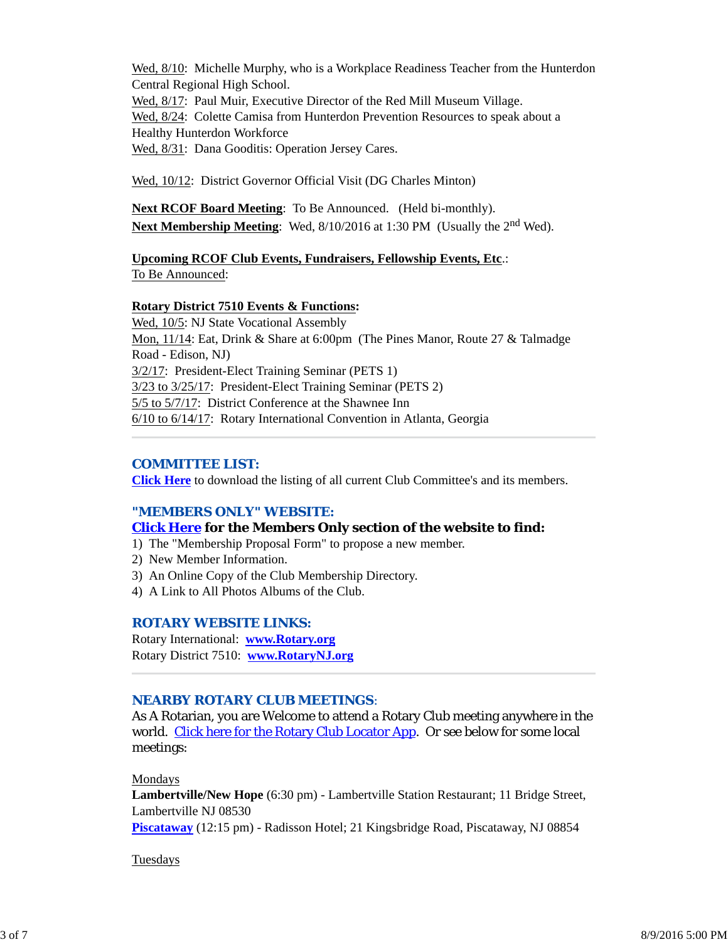Wed, 8/10: Michelle Murphy, who is a Workplace Readiness Teacher from the Hunterdon Central Regional High School.

Wed, 8/17: Paul Muir, Executive Director of the Red Mill Museum Village. Wed,  $8/24$ : Colette Camisa from Hunterdon Prevention Resources to speak about a Healthy Hunterdon Workforce

Wed, 8/31: Dana Gooditis: Operation Jersey Cares.

Wed, 10/12: District Governor Official Visit (DG Charles Minton)

**Next RCOF Board Meeting**: To Be Announced. (Held bi-monthly). **Next Membership Meeting**: Wed, 8/10/2016 at 1:30 PM (Usually the 2<sup>nd</sup> Wed).

#### **Upcoming RCOF Club Events, Fundraisers, Fellowship Events, Etc**.: To Be Announced:

#### **Rotary District 7510 Events & Functions:**

Wed, 10/5: NJ State Vocational Assembly Mon, 11/14: Eat, Drink & Share at 6:00pm (The Pines Manor, Route 27 & Talmadge Road - Edison, NJ) 3/2/17: President-Elect Training Seminar (PETS 1) 3/23 to 3/25/17: President-Elect Training Seminar (PETS 2) 5/5 to 5/7/17: District Conference at the Shawnee Inn 6/10 to 6/14/17: Rotary International Convention in Atlanta, Georgia

#### *COMMITTEE LIST:*

**Click Here** to download the listing of all current Club Committee's and its members.

#### *"MEMBERS ONLY" WEBSITE:*

#### **Click Here for the Members Only section of the website to find:**

- 1) The "Membership Proposal Form" to propose a new member.
- 2) New Member Information.
- 3) An Online Copy of the Club Membership Directory.
- 4) A Link to All Photos Albums of the Club.

#### *ROTARY WEBSITE LINKS:*

Rotary International: **www.Rotary.org** Rotary District 7510: **www.RotaryNJ.org**

# *NEARBY ROTARY CLUB MEETINGS:*

As A Rotarian, you are Welcome to attend a Rotary Club meeting anywhere in the world. Click here for the Rotary Club Locator App. Or see below for some local meetings:

Mondays

**Lambertville/New Hope** (6:30 pm) - Lambertville Station Restaurant; 11 Bridge Street, Lambertville NJ 08530 **Piscataway** (12:15 pm) - Radisson Hotel; 21 Kingsbridge Road, Piscataway, NJ 08854

#### Tuesdays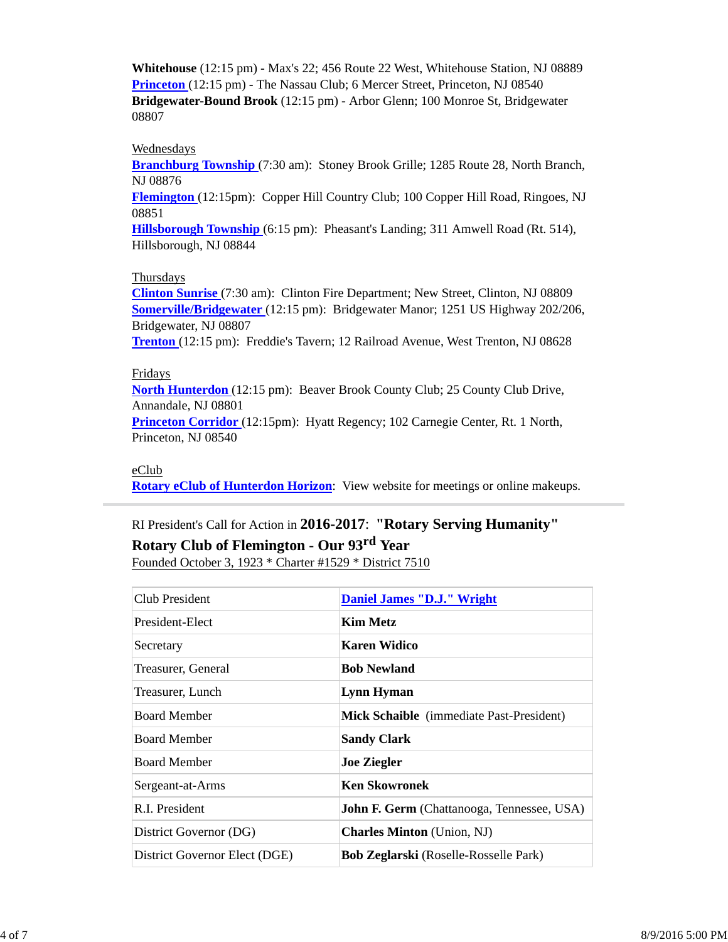**Whitehouse** (12:15 pm) - Max's 22; 456 Route 22 West, Whitehouse Station, NJ 08889 **Princeton** (12:15 pm) - The Nassau Club; 6 Mercer Street, Princeton, NJ 08540 **Bridgewater-Bound Brook** (12:15 pm) - Arbor Glenn; 100 Monroe St, Bridgewater 08807

#### **Wednesdays**

**Branchburg Township** (7:30 am): Stoney Brook Grille; 1285 Route 28, North Branch, NJ 08876

**Flemington** (12:15pm): Copper Hill Country Club; 100 Copper Hill Road, Ringoes, NJ 08851

**Hillsborough Township** (6:15 pm): Pheasant's Landing; 311 Amwell Road (Rt. 514), Hillsborough, NJ 08844

#### Thursdays

**Clinton Sunrise** (7:30 am): Clinton Fire Department; New Street, Clinton, NJ 08809 **Somerville/Bridgewater** (12:15 pm): Bridgewater Manor; 1251 US Highway 202/206, Bridgewater, NJ 08807

**Trenton** (12:15 pm): Freddie's Tavern; 12 Railroad Avenue, West Trenton, NJ 08628

#### Fridays

**North Hunterdon** (12:15 pm): Beaver Brook County Club; 25 County Club Drive, Annandale, NJ 08801

**Princeton Corridor** (12:15pm): Hyatt Regency; 102 Carnegie Center, Rt. 1 North, Princeton, NJ 08540

#### eClub

**Rotary eClub of Hunterdon Horizon**: View website for meetings or online makeups.

# RI President's Call for Action in **2016-2017**: **"Rotary Serving Humanity"**

# **Rotary Club of Flemington - Our 93rd Year**

Founded October 3, 1923 \* Charter #1529 \* District 7510

| <b>Daniel James "D.J." Wright</b>                 |
|---------------------------------------------------|
| <b>Kim Metz</b>                                   |
| Karen Widico                                      |
| <b>Bob Newland</b>                                |
| Lynn Hyman                                        |
| Mick Schaible (immediate Past-President)          |
| <b>Sandy Clark</b>                                |
| <b>Joe Ziegler</b>                                |
| <b>Ken Skowronek</b>                              |
| <b>John F. Germ</b> (Chattanooga, Tennessee, USA) |
| <b>Charles Minton</b> (Union, NJ)                 |
| <b>Bob Zeglarski</b> (Roselle-Rosselle Park)      |
|                                                   |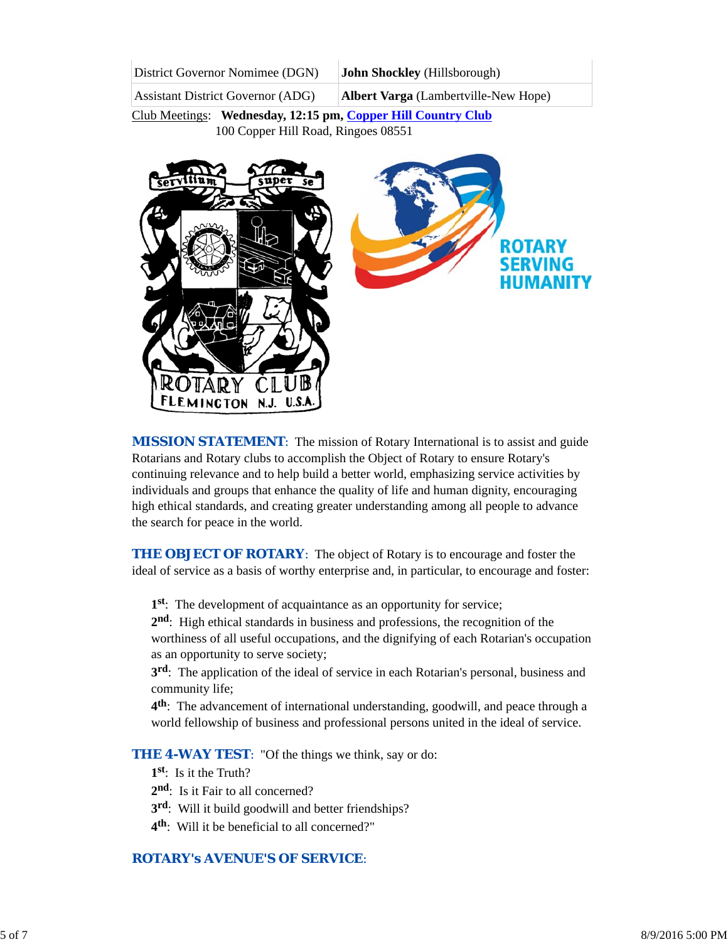| District Governor Nomimee (DGN)          | John Shockley (Hillsborough)                |
|------------------------------------------|---------------------------------------------|
| <b>Assistant District Governor (ADG)</b> | <b>Albert Varga</b> (Lambertville-New Hope) |

Club Meetings: **Wednesday, 12:15 pm, Copper Hill Country Club** 100 Copper Hill Road, Ringoes 08551



*MISSION STATEMENT*: The mission of Rotary International is to assist and guide Rotarians and Rotary clubs to accomplish the Object of Rotary to ensure Rotary's continuing relevance and to help build a better world, emphasizing service activities by individuals and groups that enhance the quality of life and human dignity, encouraging high ethical standards, and creating greater understanding among all people to advance the search for peace in the world.

**THE OBJECT OF ROTARY:** The object of Rotary is to encourage and foster the ideal of service as a basis of worthy enterprise and, in particular, to encourage and foster:

**1st**: The development of acquaintance as an opportunity for service;

**2nd**: High ethical standards in business and professions, the recognition of the worthiness of all useful occupations, and the dignifying of each Rotarian's occupation as an opportunity to serve society;

**3rd**: The application of the ideal of service in each Rotarian's personal, business and community life;

**4th**: The advancement of international understanding, goodwill, and peace through a world fellowship of business and professional persons united in the ideal of service.

**THE 4-WAY TEST:** "Of the things we think, say or do:

**1st**: Is it the Truth?

2<sup>nd</sup>: Is it Fair to all concerned?

- **3rd**: Will it build goodwill and better friendships?
- **4th**: Will it be beneficial to all concerned?"

# *ROTARY's AVENUE'S OF SERVICE*: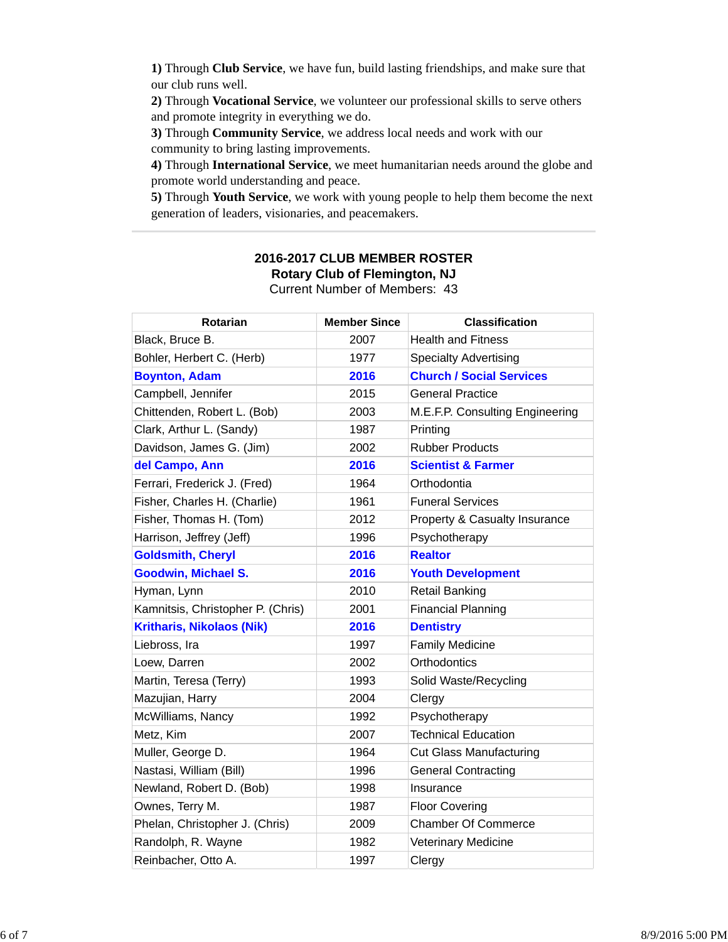**1)** Through **Club Service**, we have fun, build lasting friendships, and make sure that our club runs well.

**2)** Through **Vocational Service**, we volunteer our professional skills to serve others and promote integrity in everything we do.

**3)** Through **Community Service**, we address local needs and work with our community to bring lasting improvements.

**4)** Through **International Service**, we meet humanitarian needs around the globe and promote world understanding and peace.

**5)** Through **Youth Service**, we work with young people to help them become the next generation of leaders, visionaries, and peacemakers.

| Rotarian                          | <b>Member Since</b> | <b>Classification</b>                    |
|-----------------------------------|---------------------|------------------------------------------|
| Black, Bruce B.                   | 2007                | <b>Health and Fitness</b>                |
| Bohler, Herbert C. (Herb)         | 1977                | <b>Specialty Advertising</b>             |
| <b>Boynton, Adam</b>              | 2016                | <b>Church / Social Services</b>          |
| Campbell, Jennifer                | 2015                | <b>General Practice</b>                  |
| Chittenden, Robert L. (Bob)       | 2003                | M.E.F.P. Consulting Engineering          |
| Clark, Arthur L. (Sandy)          | 1987                | Printing                                 |
| Davidson, James G. (Jim)          | 2002                | <b>Rubber Products</b>                   |
| del Campo, Ann                    | 2016                | <b>Scientist &amp; Farmer</b>            |
| Ferrari, Frederick J. (Fred)      | 1964                | Orthodontia                              |
| Fisher, Charles H. (Charlie)      | 1961                | <b>Funeral Services</b>                  |
| Fisher, Thomas H. (Tom)           | 2012                | <b>Property &amp; Casualty Insurance</b> |
| Harrison, Jeffrey (Jeff)          | 1996                | Psychotherapy                            |
| <b>Goldsmith, Cheryl</b>          | 2016                | <b>Realtor</b>                           |
| <b>Goodwin, Michael S.</b>        | 2016                | <b>Youth Development</b>                 |
| Hyman, Lynn                       | 2010                | <b>Retail Banking</b>                    |
| Kamnitsis, Christopher P. (Chris) | 2001                | <b>Financial Planning</b>                |
| <b>Kritharis, Nikolaos (Nik)</b>  | 2016                | <b>Dentistry</b>                         |
| Liebross, Ira                     | 1997                | <b>Family Medicine</b>                   |
| Loew, Darren                      | 2002                | Orthodontics                             |
| Martin, Teresa (Terry)            | 1993                | Solid Waste/Recycling                    |
| Mazujian, Harry                   | 2004                | Clergy                                   |
| McWilliams, Nancy                 | 1992                | Psychotherapy                            |
| Metz, Kim                         | 2007                | <b>Technical Education</b>               |
| Muller, George D.                 | 1964                | <b>Cut Glass Manufacturing</b>           |
| Nastasi, William (Bill)           | 1996                | <b>General Contracting</b>               |
| Newland, Robert D. (Bob)          | 1998                | Insurance                                |
| Ownes, Terry M.                   | 1987                | <b>Floor Covering</b>                    |
| Phelan, Christopher J. (Chris)    | 2009                | Chamber Of Commerce                      |
| Randolph, R. Wayne                | 1982                | Veterinary Medicine                      |
| Reinbacher, Otto A.               | 1997                | Clergy                                   |

#### **2016-2017 CLUB MEMBER ROSTER Rotary Club of Flemington, NJ** Current Number of Members: 43